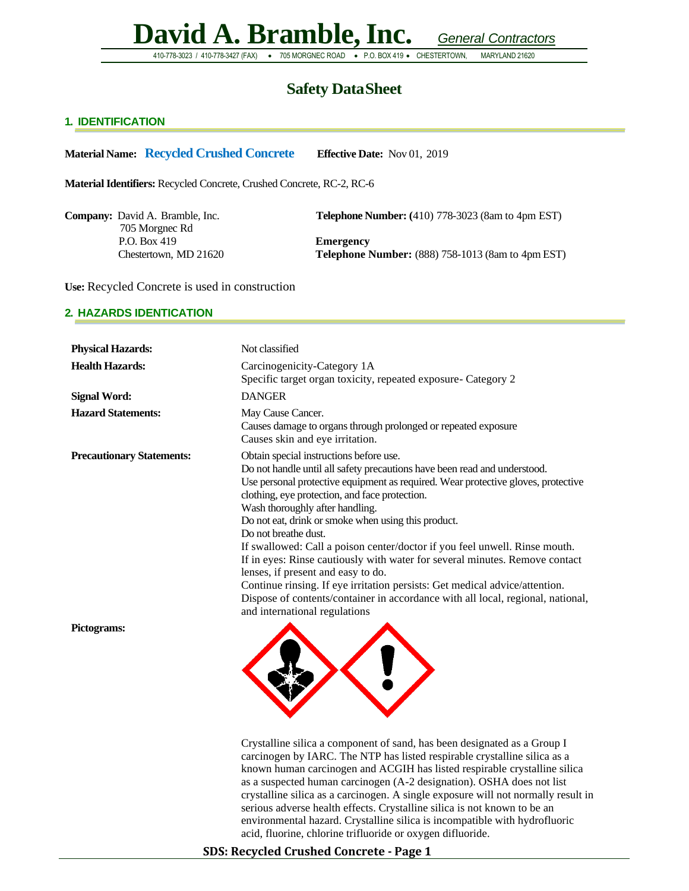410-778-3023 / 410-778-3427 (FAX) • 705 MORGNEC ROAD • P.O. BOX 419 • CHESTERTOWN, MARYLAND 21620

### **Safety DataSheet**

#### **1. IDENTIFICATION**

**Material Name: Recycled Crushed Concrete Effective Date:** Nov 01, 2019

**Material Identifiers:** Recycled Concrete, Crushed Concrete, RC-2, RC-6

705 Morgnec Rd P.O. Box 419 **Emergency**

**Company:** David A. Bramble, Inc. **Telephone Number:** (410) 778-3023 (8am to 4pm EST)

Chestertown, MD 21620 **Telephone Number:** (888) 758-1013 (8am to 4pm EST)

**Use:** Recycled Concrete is used in construction

#### **2. HAZARDS IDENTICATION**

| <b>Physical Hazards:</b>         | Not classified                                                                                                                                                                                                                                                                                                                                                                                                                                                                                                                                                                                                                                                                                                                                                                      |
|----------------------------------|-------------------------------------------------------------------------------------------------------------------------------------------------------------------------------------------------------------------------------------------------------------------------------------------------------------------------------------------------------------------------------------------------------------------------------------------------------------------------------------------------------------------------------------------------------------------------------------------------------------------------------------------------------------------------------------------------------------------------------------------------------------------------------------|
| <b>Health Hazards:</b>           | Carcinogenicity-Category 1A<br>Specific target organ toxicity, repeated exposure- Category 2                                                                                                                                                                                                                                                                                                                                                                                                                                                                                                                                                                                                                                                                                        |
| <b>Signal Word:</b>              | <b>DANGER</b>                                                                                                                                                                                                                                                                                                                                                                                                                                                                                                                                                                                                                                                                                                                                                                       |
| <b>Hazard Statements:</b>        | May Cause Cancer.<br>Causes damage to organs through prolonged or repeated exposure<br>Causes skin and eye irritation.                                                                                                                                                                                                                                                                                                                                                                                                                                                                                                                                                                                                                                                              |
| <b>Precautionary Statements:</b> | Obtain special instructions before use.<br>Do not handle until all safety precautions have been read and understood.<br>Use personal protective equipment as required. Wear protective gloves, protective<br>clothing, eye protection, and face protection.<br>Wash thoroughly after handling.<br>Do not eat, drink or smoke when using this product.<br>Do not breathe dust.<br>If swallowed: Call a poison center/doctor if you feel unwell. Rinse mouth.<br>If in eyes: Rinse cautiously with water for several minutes. Remove contact<br>lenses, if present and easy to do.<br>Continue rinsing. If eye irritation persists: Get medical advice/attention.<br>Dispose of contents/container in accordance with all local, regional, national,<br>and international regulations |
| Pictograms:                      |                                                                                                                                                                                                                                                                                                                                                                                                                                                                                                                                                                                                                                                                                                                                                                                     |

Crystalline silica a component of sand, has been designated as a Group I carcinogen by IARC. The NTP has listed respirable crystalline silica as a known human carcinogen and ACGIH has listed respirable crystalline silica as a suspected human carcinogen (A-2 designation). OSHA does not list crystalline silica as a carcinogen. A single exposure will not normally result in serious adverse health effects. Crystalline silica is not known to be an environmental hazard. Crystalline silica is incompatible with hydrofluoric acid, fluorine, chlorine trifluoride or oxygen difluoride.

#### **SDS: Recycled Crushed Concrete - Page 1**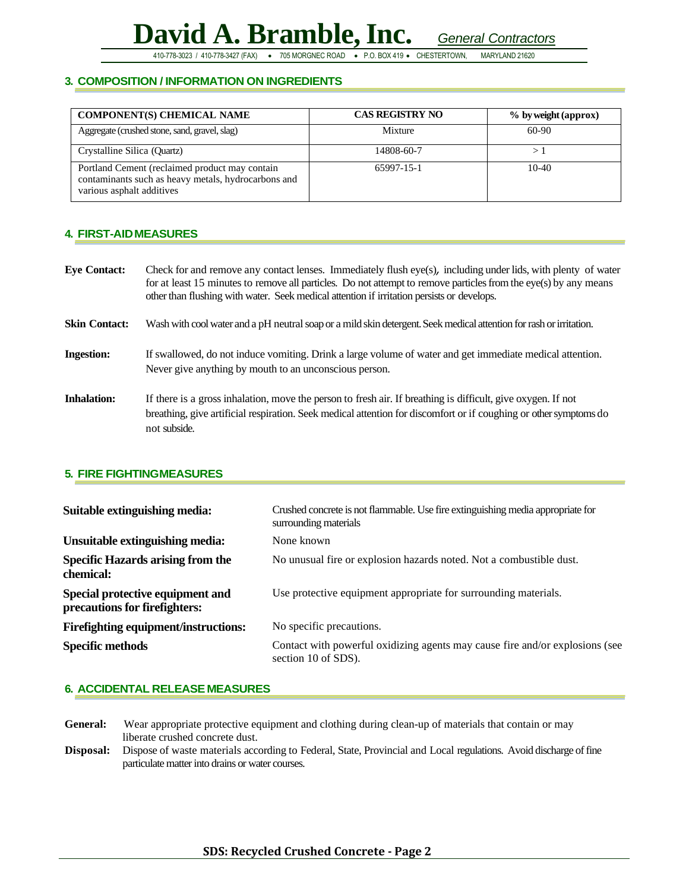410-778-3023 / 410-778-3427 (FAX) • 705 MORGNEC ROAD • P.O. BOX 419 • CHESTERTOWN, MARYLAND 21620

#### **3. COMPOSITION / INFORMATION ON INGREDIENTS**

| <b>COMPONENT(S) CHEMICAL NAME</b>                                                                                                  | <b>CAS REGISTRY NO</b> | % by weight (approx) |
|------------------------------------------------------------------------------------------------------------------------------------|------------------------|----------------------|
| Aggregate (crushed stone, sand, gravel, slag)                                                                                      | Mixture                | 60-90                |
| Crystalline Silica (Quartz)                                                                                                        | 14808-60-7             |                      |
| Portland Cement (reclaimed product may contain<br>contaminants such as heavy metals, hydrocarbons and<br>various asphalt additives | 65997-15-1             | $10-40$              |

#### **4. FIRST-AIDMEASURES**

| <b>Eye Contact:</b>  | Check for and remove any contact lenses. Immediately flush eye(s), including under lids, with plenty of water<br>for at least 15 minutes to remove all particles. Do not attempt to remove particles from the eye(s) by any means<br>other than flushing with water. Seek medical attention if irritation persists or develops. |
|----------------------|---------------------------------------------------------------------------------------------------------------------------------------------------------------------------------------------------------------------------------------------------------------------------------------------------------------------------------|
| <b>Skin Contact:</b> | Wash with cool water and a pH neutral soap or a mild skin detergent. Seek medical attention for rash or irritation.                                                                                                                                                                                                             |
| <b>Ingestion:</b>    | If swallowed, do not induce vomiting. Drink a large volume of water and get immediate medical attention.<br>Never give anything by mouth to an unconscious person.                                                                                                                                                              |
| <b>Inhalation:</b>   | If there is a gross inhalation, move the person to fresh air. If breathing is difficult, give oxygen. If not<br>breathing, give artificial respiration. Seek medical attention for discomfort or if coughing or other symptoms do<br>not subside.                                                                               |

#### **5. FIRE FIGHTINGMEASURES**

| Suitable extinguishing media:                                     | Crushed concrete is not flammable. Use fire extinguishing media appropriate for<br>surrounding materials |  |  |
|-------------------------------------------------------------------|----------------------------------------------------------------------------------------------------------|--|--|
| Unsuitable extinguishing media:                                   | None known                                                                                               |  |  |
| <b>Specific Hazards arising from the</b><br>chemical:             | No unusual fire or explosion hazards noted. Not a combustible dust.                                      |  |  |
| Special protective equipment and<br>precautions for firefighters: | Use protective equipment appropriate for surrounding materials.                                          |  |  |
| <b>Firefighting equipment/instructions:</b>                       | No specific precautions.                                                                                 |  |  |
| <b>Specific methods</b>                                           | Contact with powerful oxidizing agents may cause fire and/or explosions (see<br>section 10 of SDS).      |  |  |

#### **6. ACCIDENTAL RELEASE MEASURES**

**General:** Wear appropriate protective equipment and clothing during clean-up of materials that contain or may liberate crushed concrete dust.

**Disposal:** Dispose of waste materials according to Federal, State, Provincial and Local regulations. Avoid discharge of fine particulate matter into drains or water courses.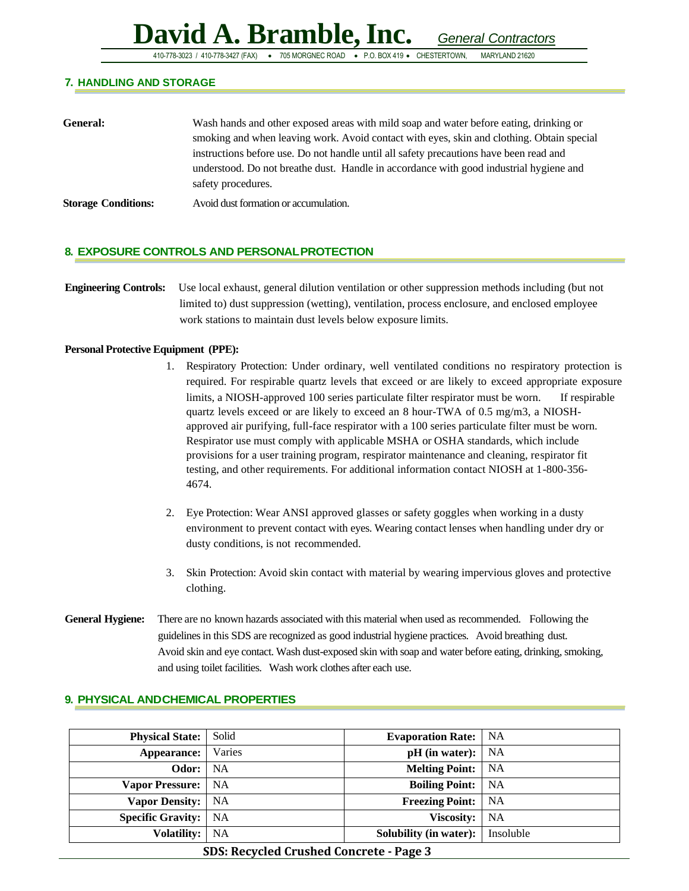410-778-3023 / 410-778-3427 (FAX) • 705 MORGNEC ROAD • P.O. BOX 419 • CHESTERTOWN, MARYLAND 21620

#### **7. HANDLING AND STORAGE**

| General:                   | Wash hands and other exposed areas with mild soap and water before eating, drinking or<br>smoking and when leaving work. Avoid contact with eyes, skin and clothing. Obtain special<br>instructions before use. Do not handle until all safety precautions have been read and<br>understood. Do not breathe dust. Handle in accordance with good industrial hygiene and |
|----------------------------|-------------------------------------------------------------------------------------------------------------------------------------------------------------------------------------------------------------------------------------------------------------------------------------------------------------------------------------------------------------------------|
| <b>Storage Conditions:</b> | safety procedures.<br>Avoid dust formation or accumulation.                                                                                                                                                                                                                                                                                                             |
|                            |                                                                                                                                                                                                                                                                                                                                                                         |

#### **8. EXPOSURE CONTROLS AND PERSONALPROTECTION**

**Engineering Controls:** Use local exhaust, general dilution ventilation or other suppression methods including (but not limited to) dust suppression (wetting), ventilation, process enclosure, and enclosed employee work stations to maintain dust levels below exposure limits.

#### **Personal Protective Equipment (PPE):**

- 1. Respiratory Protection: Under ordinary, well ventilated conditions no respiratory protection is required. For respirable quartz levels that exceed or are likely to exceed appropriate exposure limits, a NIOSH-approved 100 series particulate filter respirator must be worn. If respirable quartz levels exceed or are likely to exceed an 8 hour-TWA of 0.5 mg/m3, a NIOSHapproved air purifying, full-face respirator with a 100 series particulate filter must be worn. Respirator use must comply with applicable MSHA or OSHA standards, which include provisions for a user training program, respirator maintenance and cleaning, respirator fit testing, and other requirements. For additional information contact NIOSH at 1-800-356- 4674.
- 2. Eye Protection: Wear ANSI approved glasses or safety goggles when working in a dusty environment to prevent contact with eyes. Wearing contact lenses when handling under dry or dusty conditions, is not recommended.
- 3. Skin Protection: Avoid skin contact with material by wearing impervious gloves and protective clothing.
- **General Hygiene:** There are no known hazards associated with this material when used as recommended. Following the guidelines in this SDS are recognized as good industrial hygiene practices. Avoid breathing dust. Avoid skin and eye contact. Wash dust-exposed skin with soap and water before eating, drinking, smoking, and using toilet facilities. Wash work clothes after each use.

| <b>Physical State:</b>   | Solid     | <b>Evaporation Rate:</b>    | NA        |
|--------------------------|-----------|-----------------------------|-----------|
| Appearance:              | Varies    | $pH$ (in water): $\vert$ NA |           |
| Odor:                    | NA        | <b>Melting Point:</b>       | NA        |
| <b>Vapor Pressure:</b>   | <b>NA</b> | <b>Boiling Point:</b>       | NA        |
| <b>Vapor Density:</b>    | NA        | <b>Freezing Point:</b>      | NA        |
| <b>Specific Gravity:</b> | NA        | <b>Viscosity:</b>           | <b>NA</b> |
| <b>Volatility:</b>       | <b>NA</b> | Solubility (in water):      | Insoluble |

#### **9. PHYSICAL ANDCHEMICAL PROPERTIES**

#### **SDS: Recycled Crushed Concrete - Page 3**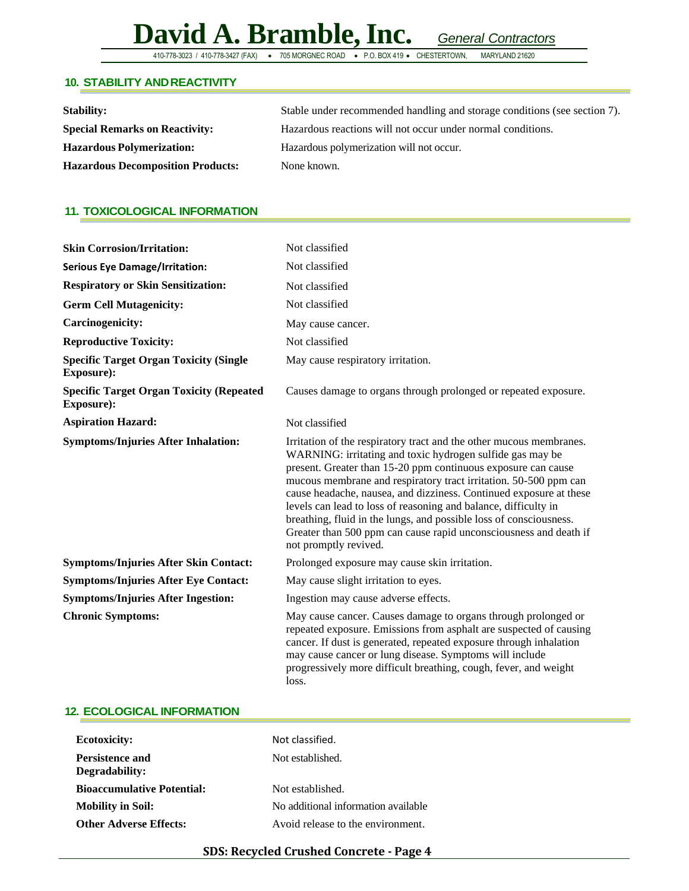410-778-3023 / 410-778-3427 (FAX) • 705 MORGNEC ROAD • P.O. BOX 419 • CHESTERTOWN,

#### **10. STABILITY ANDREACTIVITY**

| <b>Stability:</b>                        | Stable under recommended handling and storage conditions (see section 7). |  |
|------------------------------------------|---------------------------------------------------------------------------|--|
| <b>Special Remarks on Reactivity:</b>    | Hazardous reactions will not occur under normal conditions.               |  |
| <b>Hazardous Polymerization:</b>         | Hazardous polymerization will not occur.                                  |  |
| <b>Hazardous Decomposition Products:</b> | None known.                                                               |  |

#### **11. TOXICOLOGICAL INFORMATION**

| <b>Skin Corrosion/Irritation:</b>                             | Not classified                                                                                                                                                                                                                                                                                                                                                                                                                                                                                                                                                                     |  |  |
|---------------------------------------------------------------|------------------------------------------------------------------------------------------------------------------------------------------------------------------------------------------------------------------------------------------------------------------------------------------------------------------------------------------------------------------------------------------------------------------------------------------------------------------------------------------------------------------------------------------------------------------------------------|--|--|
| <b>Serious Eye Damage/Irritation:</b>                         | Not classified                                                                                                                                                                                                                                                                                                                                                                                                                                                                                                                                                                     |  |  |
| <b>Respiratory or Skin Sensitization:</b>                     | Not classified                                                                                                                                                                                                                                                                                                                                                                                                                                                                                                                                                                     |  |  |
| <b>Germ Cell Mutagenicity:</b>                                | Not classified                                                                                                                                                                                                                                                                                                                                                                                                                                                                                                                                                                     |  |  |
| <b>Carcinogenicity:</b>                                       | May cause cancer.                                                                                                                                                                                                                                                                                                                                                                                                                                                                                                                                                                  |  |  |
| <b>Reproductive Toxicity:</b>                                 | Not classified                                                                                                                                                                                                                                                                                                                                                                                                                                                                                                                                                                     |  |  |
| <b>Specific Target Organ Toxicity (Single</b><br>Exposure):   | May cause respiratory irritation.                                                                                                                                                                                                                                                                                                                                                                                                                                                                                                                                                  |  |  |
| <b>Specific Target Organ Toxicity (Repeated</b><br>Exposure): | Causes damage to organs through prolonged or repeated exposure.                                                                                                                                                                                                                                                                                                                                                                                                                                                                                                                    |  |  |
| <b>Aspiration Hazard:</b>                                     | Not classified                                                                                                                                                                                                                                                                                                                                                                                                                                                                                                                                                                     |  |  |
| <b>Symptoms/Injuries After Inhalation:</b>                    | Irritation of the respiratory tract and the other mucous membranes.<br>WARNING: irritating and toxic hydrogen sulfide gas may be<br>present. Greater than 15-20 ppm continuous exposure can cause<br>mucous membrane and respiratory tract irritation. 50-500 ppm can<br>cause headache, nausea, and dizziness. Continued exposure at these<br>levels can lead to loss of reasoning and balance, difficulty in<br>breathing, fluid in the lungs, and possible loss of consciousness.<br>Greater than 500 ppm can cause rapid unconsciousness and death if<br>not promptly revived. |  |  |
| <b>Symptoms/Injuries After Skin Contact:</b>                  | Prolonged exposure may cause skin irritation.                                                                                                                                                                                                                                                                                                                                                                                                                                                                                                                                      |  |  |
| <b>Symptoms/Injuries After Eye Contact:</b>                   | May cause slight irritation to eyes.                                                                                                                                                                                                                                                                                                                                                                                                                                                                                                                                               |  |  |
| <b>Symptoms/Injuries After Ingestion:</b>                     | Ingestion may cause adverse effects.                                                                                                                                                                                                                                                                                                                                                                                                                                                                                                                                               |  |  |
| <b>Chronic Symptoms:</b>                                      | May cause cancer. Causes damage to organs through prolonged or<br>repeated exposure. Emissions from asphalt are suspected of causing<br>cancer. If dust is generated, repeated exposure through inhalation<br>may cause cancer or lung disease. Symptoms will include<br>progressively more difficult breathing, cough, fever, and weight<br>loss.                                                                                                                                                                                                                                 |  |  |

#### **12. ECOLOGICAL INFORMATION**

| <b>Ecotoxicity:</b>               | Not classified.                     |
|-----------------------------------|-------------------------------------|
| Persistence and<br>Degradability: | Not established.                    |
| <b>Bioaccumulative Potential:</b> | Not established.                    |
| <b>Mobility in Soil:</b>          | No additional information available |
| <b>Other Adverse Effects:</b>     | Avoid release to the environment.   |

#### **SDS: Recycled Crushed Concrete - Page 4**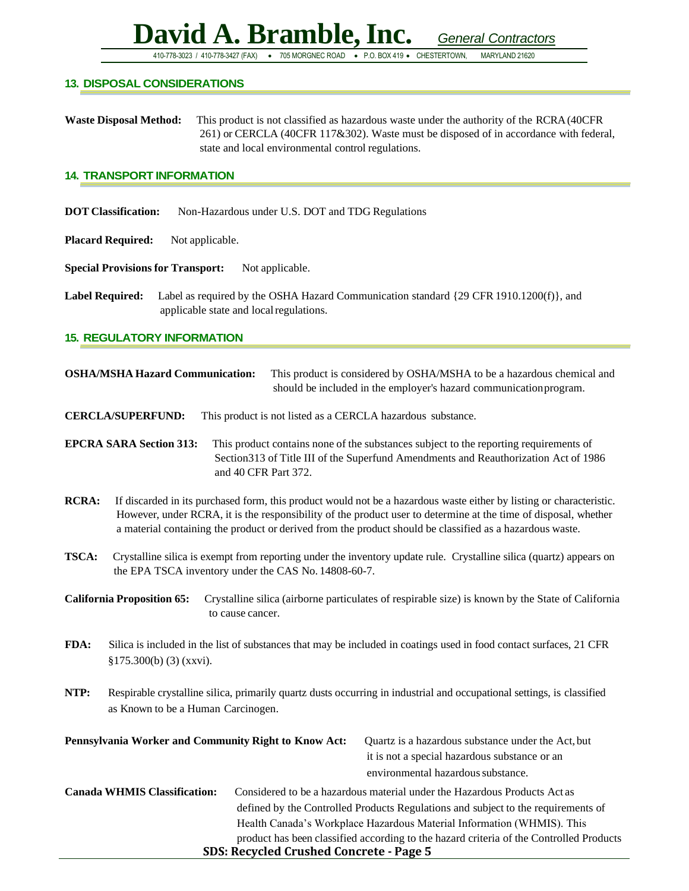410-778-3023 / 410-778-3427 (FAX) • 705 MORGNEC ROAD • P.O. BOX 419 • CHESTERTOWN, MARYLAND 21620

#### **13. DISPOSAL CONSIDERATIONS**

**Waste Disposal Method:** This product is not classified as hazardous waste under the authority of the RCRA(40CFR 261) or CERCLA (40CFR 117&302). Waste must be disposed of in accordance with federal, state and local environmental control regulations.

#### **14. TRANSPORT INFORMATION**

- **DOT Classification:** Non-Hazardous under U.S. DOT and TDG Regulations
- **Placard Required:** Not applicable.

**Special Provisions for Transport:** Not applicable.

**Label Required:** Label as required by the OSHA Hazard Communication standard {29 CFR 1910.1200(f)}, and applicable state and localregulations.

#### **15. REGULATORY INFORMATION**

| <b>OSHA/MSHA Hazard Communication:</b>                                                                                                                               |                                                        | This product is considered by OSHA/MSHA to be a hazardous chemical and<br>should be included in the employer's hazard communication program.                                                                                                                                                                                                        |  |
|----------------------------------------------------------------------------------------------------------------------------------------------------------------------|--------------------------------------------------------|-----------------------------------------------------------------------------------------------------------------------------------------------------------------------------------------------------------------------------------------------------------------------------------------------------------------------------------------------------|--|
|                                                                                                                                                                      | <b>CERCLA/SUPERFUND:</b>                               | This product is not listed as a CERCLA hazardous substance.                                                                                                                                                                                                                                                                                         |  |
|                                                                                                                                                                      | <b>EPCRA SARA Section 313:</b><br>and 40 CFR Part 372. | This product contains none of the substances subject to the reporting requirements of<br>Section 313 of Title III of the Superfund Amendments and Reauthorization Act of 1986                                                                                                                                                                       |  |
| <b>RCRA:</b>                                                                                                                                                         |                                                        | If discarded in its purchased form, this product would not be a hazardous waste either by listing or characteristic.<br>However, under RCRA, it is the responsibility of the product user to determine at the time of disposal, whether<br>a material containing the product or derived from the product should be classified as a hazardous waste. |  |
| <b>TSCA:</b>                                                                                                                                                         | the EPA TSCA inventory under the CAS No. 14808-60-7.   | Crystalline silica is exempt from reporting under the inventory update rule. Crystalline silica (quartz) appears on                                                                                                                                                                                                                                 |  |
| <b>California Proposition 65:</b><br>Crystalline silica (airborne particulates of respirable size) is known by the State of California<br>to cause cancer.           |                                                        |                                                                                                                                                                                                                                                                                                                                                     |  |
| FDA:<br>Silica is included in the list of substances that may be included in coatings used in food contact surfaces, 21 CFR<br>\$175.300(b) (3) (xxvi).              |                                                        |                                                                                                                                                                                                                                                                                                                                                     |  |
| NTP:<br>Respirable crystalline silica, primarily quartz dusts occurring in industrial and occupational settings, is classified<br>as Known to be a Human Carcinogen. |                                                        |                                                                                                                                                                                                                                                                                                                                                     |  |
|                                                                                                                                                                      | Pennsylvania Worker and Community Right to Know Act:   | Quartz is a hazardous substance under the Act, but<br>it is not a special hazardous substance or an<br>environmental hazardous substance.                                                                                                                                                                                                           |  |
|                                                                                                                                                                      |                                                        | Conado WIII III Classification. Considered to be a becoming material under the Herminese Ducharte. A store                                                                                                                                                                                                                                          |  |

**SDS: Recycled Crushed Concrete - Page 5 Canada WHMIS Classification:** Considered to be a hazardous material under the Hazardous Products Act as defined by the Controlled Products Regulations and subject to the requirements of Health Canada's Workplace Hazardous Material Information (WHMIS). This product has been classified according to the hazard criteria of the Controlled Products